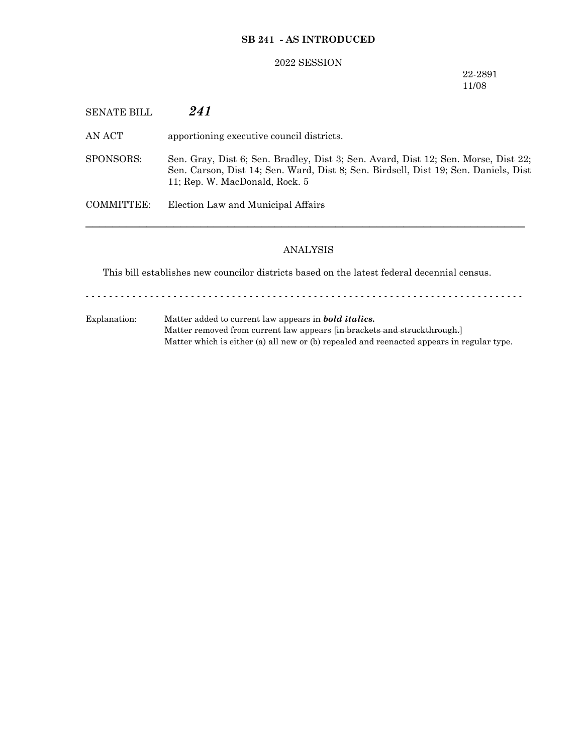# **SB 241 - AS INTRODUCED**

### 2022 SESSION

22-2891 11/08

SENATE BILL *241*

AN ACT apportioning executive council districts.

SPONSORS: Sen. Gray, Dist 6; Sen. Bradley, Dist 3; Sen. Avard, Dist 12; Sen. Morse, Dist 22; Sen. Carson, Dist 14; Sen. Ward, Dist 8; Sen. Birdsell, Dist 19; Sen. Daniels, Dist 11; Rep. W. MacDonald, Rock. 5

COMMITTEE: Election Law and Municipal Affairs

#### ANALYSIS

─────────────────────────────────────────────────────────────────

This bill establishes new councilor districts based on the latest federal decennial census.

- - - - - - - - - - - - - - - - - - - - - - - - - - - - - - - - - - - - - - - - - - - - - - - - - - - - - - - - - - - - - - - - - - - - - - - - - - -

Explanation: Matter added to current law appears in *bold italics.* Matter removed from current law appears [in brackets and struckthrough.] Matter which is either (a) all new or (b) repealed and reenacted appears in regular type.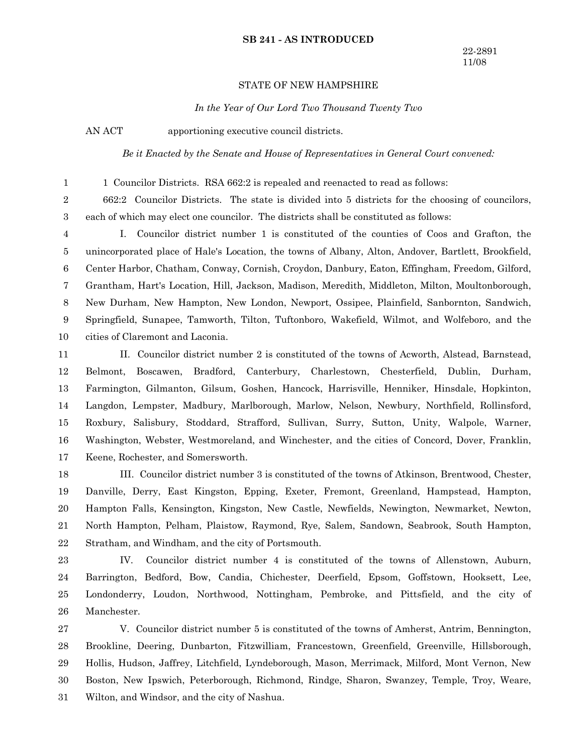#### **SB 241 - AS INTRODUCED**

### STATE OF NEW HAMPSHIRE

*In the Year of Our Lord Two Thousand Twenty Two*

AN ACT apportioning executive council districts.

1

*Be it Enacted by the Senate and House of Representatives in General Court convened:*

1 Councilor Districts. RSA 662:2 is repealed and reenacted to read as follows:

662:2 Councilor Districts. The state is divided into 5 districts for the choosing of councilors, each of which may elect one councilor. The districts shall be constituted as follows: 2 3

I. Councilor district number 1 is constituted of the counties of Coos and Grafton, the unincorporated place of Hale's Location, the towns of Albany, Alton, Andover, Bartlett, Brookfield, Center Harbor, Chatham, Conway, Cornish, Croydon, Danbury, Eaton, Effingham, Freedom, Gilford, Grantham, Hart's Location, Hill, Jackson, Madison, Meredith, Middleton, Milton, Moultonborough, New Durham, New Hampton, New London, Newport, Ossipee, Plainfield, Sanbornton, Sandwich, Springfield, Sunapee, Tamworth, Tilton, Tuftonboro, Wakefield, Wilmot, and Wolfeboro, and the cities of Claremont and Laconia. 4 5 6 7 8 9 10

II. Councilor district number 2 is constituted of the towns of Acworth, Alstead, Barnstead, Belmont, Boscawen, Bradford, Canterbury, Charlestown, Chesterfield, Dublin, Durham, Farmington, Gilmanton, Gilsum, Goshen, Hancock, Harrisville, Henniker, Hinsdale, Hopkinton, Langdon, Lempster, Madbury, Marlborough, Marlow, Nelson, Newbury, Northfield, Rollinsford, Roxbury, Salisbury, Stoddard, Strafford, Sullivan, Surry, Sutton, Unity, Walpole, Warner, Washington, Webster, Westmoreland, and Winchester, and the cities of Concord, Dover, Franklin, Keene, Rochester, and Somersworth. 11 12 13 14 15 16 17

III. Councilor district number 3 is constituted of the towns of Atkinson, Brentwood, Chester, Danville, Derry, East Kingston, Epping, Exeter, Fremont, Greenland, Hampstead, Hampton, Hampton Falls, Kensington, Kingston, New Castle, Newfields, Newington, Newmarket, Newton, North Hampton, Pelham, Plaistow, Raymond, Rye, Salem, Sandown, Seabrook, South Hampton, Stratham, and Windham, and the city of Portsmouth. 18 19 20 21 22

IV. Councilor district number 4 is constituted of the towns of Allenstown, Auburn, Barrington, Bedford, Bow, Candia, Chichester, Deerfield, Epsom, Goffstown, Hooksett, Lee, Londonderry, Loudon, Northwood, Nottingham, Pembroke, and Pittsfield, and the city of Manchester. 23 24 25 26

V. Councilor district number 5 is constituted of the towns of Amherst, Antrim, Bennington, Brookline, Deering, Dunbarton, Fitzwilliam, Francestown, Greenfield, Greenville, Hillsborough, Hollis, Hudson, Jaffrey, Litchfield, Lyndeborough, Mason, Merrimack, Milford, Mont Vernon, New Boston, New Ipswich, Peterborough, Richmond, Rindge, Sharon, Swanzey, Temple, Troy, Weare, Wilton, and Windsor, and the city of Nashua. 27 28 29 30 31